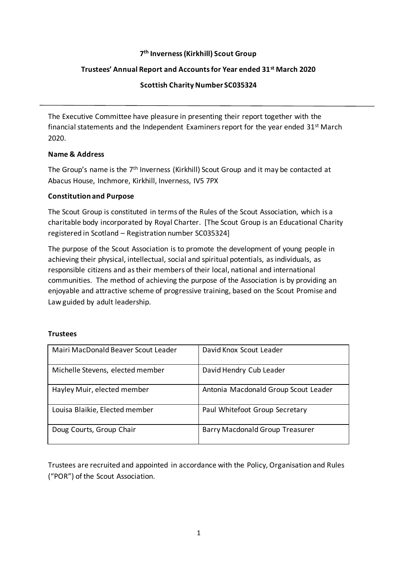# **7 th Inverness (Kirkhill) Scout Group**

### **Trustees' Annual Report and Accounts for Year ended 31st March 2020**

### **Scottish Charity Number SC035324**

The Executive Committee have pleasure in presenting their report together with the financial statements and the Independent Examiners report for the year ended  $31<sup>st</sup>$  March 2020.

### **Name & Address**

The Group's name is the 7<sup>th</sup> Inverness (Kirkhill) Scout Group and it may be contacted at Abacus House, Inchmore, Kirkhill, Inverness, IV5 7PX

### **Constitution and Purpose**

The Scout Group is constituted in terms of the Rules of the Scout Association, which is a charitable body incorporated by Royal Charter. [The Scout Group is an Educational Charity registered in Scotland – Registration number SC035324]

The purpose of the Scout Association is to promote the development of young people in achieving their physical, intellectual, social and spiritual potentials, as individuals, as responsible citizens and as their members of their local, national and international communities. The method of achieving the purpose of the Association is by providing an enjoyable and attractive scheme of progressive training, based on the Scout Promise and Law guided by adult leadership.

## **Trustees**

| Mairi MacDonald Beaver Scout Leader | David Knox Scout Leader                |
|-------------------------------------|----------------------------------------|
| Michelle Stevens, elected member    | David Hendry Cub Leader                |
| Hayley Muir, elected member         | Antonia Macdonald Group Scout Leader   |
| Louisa Blaikie, Elected member      | Paul Whitefoot Group Secretary         |
| Doug Courts, Group Chair            | <b>Barry Macdonald Group Treasurer</b> |

Trustees are recruited and appointed in accordance with the Policy, Organisation and Rules ("POR") of the Scout Association.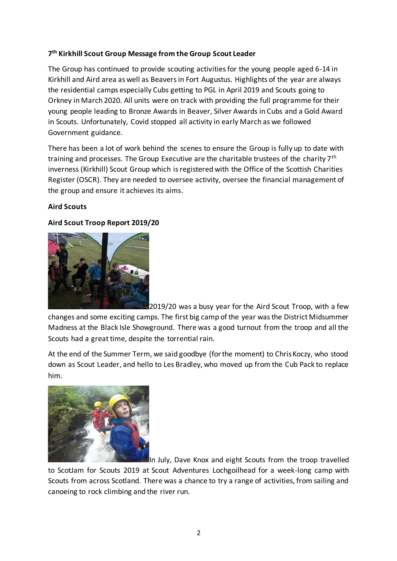# **7 th Kirkhill Scout Group Message from the Group Scout Leader**

The Group has continued to provide scouting activities for the young people aged 6-14 in Kirkhill and Aird area as well as Beavers in Fort Augustus. Highlights of the year are always the residential camps especially Cubs getting to PGL in April 2019 and Scouts going to Orkney in March 2020. All units were on track with providing the full programme for their young people leading to Bronze Awards in Beaver, Silver Awards in Cubs and a Gold Award in Scouts. Unfortunately, Covid stopped all activity in early March as we followed Government guidance.

There has been a lot of work behind the scenes to ensure the Group is fully up to date with training and processes. The Group Executive are the charitable trustees of the charity 7<sup>th</sup> inverness (Kirkhill) Scout Group which is registered with the Office of the Scottish Charities Register (OSCR). They are needed to oversee activity, oversee the financial management of the group and ensure it achieves its aims.

## **Aird Scouts**

## **Aird Scout Troop Report 2019/20**



2019/20 was a busy year for the Aird Scout Troop, with a few changes and some exciting camps. The first big camp of the year was the District Midsummer Madness at the Black Isle Showground. There was a good turnout from the troop and all the Scouts had a great time, despite the torrential rain.

At the end of the Summer Term, we said goodbye (for the moment) to Chris Koczy, who stood down as Scout Leader, and hello to Les Bradley, who moved up from the Cub Pack to replace him.



In July, Dave Knox and eight Scouts from the troop travelled

to ScotJam for Scouts 2019 at Scout Adventures Lochgoilhead for a week-long camp with Scouts from across Scotland. There was a chance to try a range of activities, from sailing and canoeing to rock climbing and the river run.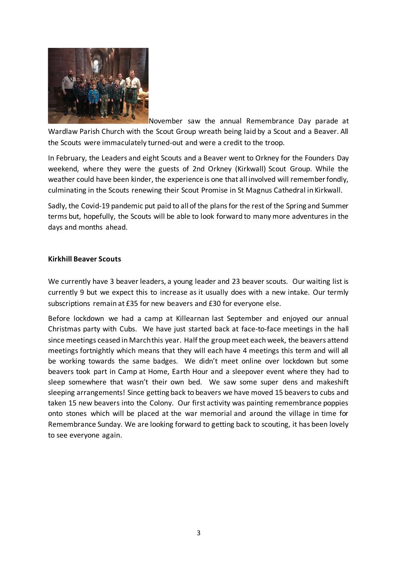

November saw the annual Remembrance Day parade at Wardlaw Parish Church with the Scout Group wreath being laid by a Scout and a Beaver. All the Scouts were immaculately turned-out and were a credit to the troop.

In February, the Leaders and eight Scouts and a Beaver went to Orkney for the Founders Day weekend, where they were the guests of 2nd Orkney (Kirkwall) Scout Group. While the weather could have been kinder, the experience is one that all involved will remember fondly, culminating in the Scouts renewing their Scout Promise in St Magnus Cathedral in Kirkwall.

Sadly, the Covid-19 pandemic put paid to all of the plans for the rest of the Spring and Summer terms but, hopefully, the Scouts will be able to look forward to many more adventures in the days and months ahead.

### **Kirkhill Beaver Scouts**

We currently have 3 beaver leaders, a young leader and 23 beaver scouts. Our waiting list is currently 9 but we expect this to increase as it usually does with a new intake. Our termly subscriptions remain at £35 for new beavers and £30 for everyone else.

Before lockdown we had a camp at Killearnan last September and enjoyed our annual Christmas party with Cubs. We have just started back at face-to-face meetings in the hall since meetings ceased in March this year. Half the group meet each week, the beavers attend meetings fortnightly which means that they will each have 4 meetings this term and will all be working towards the same badges. We didn't meet online over lockdown but some beavers took part in Camp at Home, Earth Hour and a sleepover event where they had to sleep somewhere that wasn't their own bed. We saw some super dens and makeshift sleeping arrangements! Since getting back to beavers we have moved 15 beavers to cubs and taken 15 new beavers into the Colony. Our first activity was painting remembrance poppies onto stones which will be placed at the war memorial and around the village in time for Remembrance Sunday. We are looking forward to getting back to scouting, it has been lovely to see everyone again.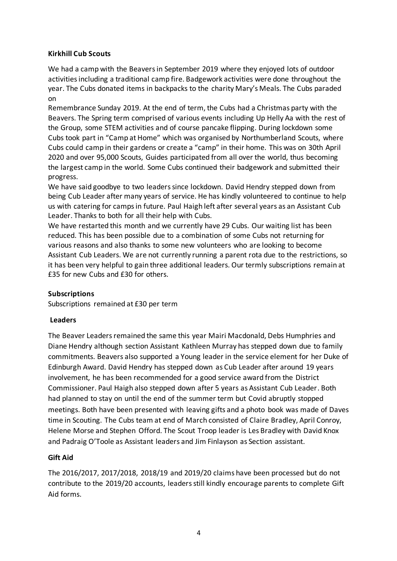## **Kirkhill Cub Scouts**

We had a camp with the Beavers in September 2019 where they enjoyed lots of outdoor activities including a traditional camp fire. Badgework activities were done throughout the year. The Cubs donated items in backpacks to the charity Mary's Meals. The Cubs paraded on

Remembrance Sunday 2019. At the end of term, the Cubs had a Christmas party with the Beavers. The Spring term comprised of various events including Up Helly Aa with the rest of the Group, some STEM activities and of course pancake flipping. During lockdown some Cubs took part in "Camp at Home" which was organised by Northumberland Scouts, where Cubs could camp in their gardens or create a "camp" in their home. This was on 30th April 2020 and over 95,000 Scouts, Guides participated from all over the world, thus becoming the largest camp in the world. Some Cubs continued their badgework and submitted their progress.

We have said goodbye to two leaders since lockdown. David Hendry stepped down from being Cub Leader after many years of service. He has kindly volunteered to continue to help us with catering for camps in future. Paul Haigh left after several years as an Assistant Cub Leader. Thanks to both for all their help with Cubs.

We have restarted this month and we currently have 29 Cubs. Our waiting list has been reduced. This has been possible due to a combination of some Cubs not returning for various reasons and also thanks to some new volunteers who are looking to become Assistant Cub Leaders. We are not currently running a parent rota due to the restrictions, so it has been very helpful to gain three additional leaders. Our termly subscriptions remain at £35 for new Cubs and £30 for others.

## **Subscriptions**

Subscriptions remained at £30 per term

#### **Leaders**

The Beaver Leaders remained the same this year Mairi Macdonald, Debs Humphries and Diane Hendry although section Assistant Kathleen Murray has stepped down due to family commitments. Beavers also supported a Young leader in the service element for her Duke of Edinburgh Award. David Hendry has stepped down as Cub Leader after around 19 years involvement, he has been recommended for a good service award from the District Commissioner. Paul Haigh also stepped down after 5 years as Assistant Cub Leader. Both had planned to stay on until the end of the summer term but Covid abruptly stopped meetings. Both have been presented with leaving gifts and a photo book was made of Daves time in Scouting. The Cubs team at end of March consisted of Claire Bradley, April Conroy, Helene Morse and Stephen Offord. The Scout Troop leader is Les Bradley with David Knox and Padraig O'Toole as Assistant leaders and Jim Finlayson as Section assistant.

## **Gift Aid**

The 2016/2017, 2017/2018, 2018/19 and 2019/20 claims have been processed but do not contribute to the 2019/20 accounts, leaders still kindly encourage parents to complete Gift Aid forms.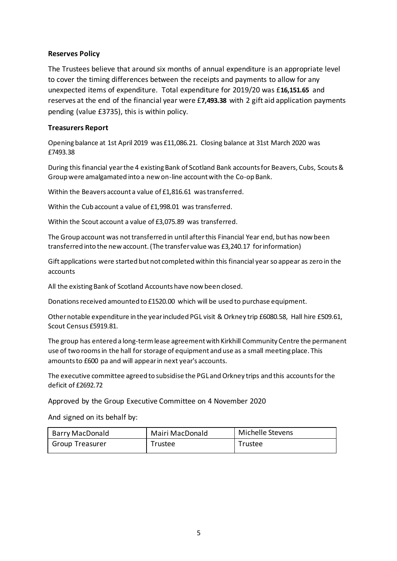### **Reserves Policy**

The Trustees believe that around six months of annual expenditure is an appropriate level to cover the timing differences between the receipts and payments to allow for any unexpected items of expenditure. Total expenditure for 2019/20 was £**16,151.65** and reserves at the end of the financial year were £**7,493.38** with 2 gift aid application payments pending (value £3735), this is within policy.

### **Treasurers Report**

Opening balance at 1st April 2019 was £11,086.21. Closing balance at 31st March 2020 was £7493.38

During this financial year the 4 existing Bank of Scotland Bank accounts for Beavers, Cubs, Scouts & Group were amalgamated into a new on-line account with the Co-op Bank.

Within the Beavers account a value of £1,816.61 was transferred.

Within the Cub account a value of £1,998.01 was transferred.

Within the Scout account a value of £3,075.89 was transferred.

The Group account was not transferred in until after this Financial Year end, but has now been transferred into the new account. (The transfer value was £3,240.17 for information)

Gift applications were started but not completed within this financial year so appear as zero in the accounts

All the existing Bank of Scotland Accounts have now been closed.

Donations received amounted to £1520.00 which will be used to purchase equipment.

Other notable expenditure in the year included PGL visit & Orkney trip £6080.58, Hall hire £509.61, Scout Census £5919.81.

The group has entered a long-termlease agreement with Kirkhill Community Centre the permanent use of two rooms in the hall for storage of equipment and use as a small meeting place. This amounts to £600 pa and will appear in next year's accounts.

The executive committee agreed to subsidise the PGL and Orkney trips and this accounts for the deficit of £2692.72

Approved by the Group Executive Committee on 4 November 2020

And signed on its behalf by:

| Barry MacDonald        | Mairi MacDonald | Michelle Stevens |
|------------------------|-----------------|------------------|
| <b>Group Treasurer</b> | Trustee         | Trustee          |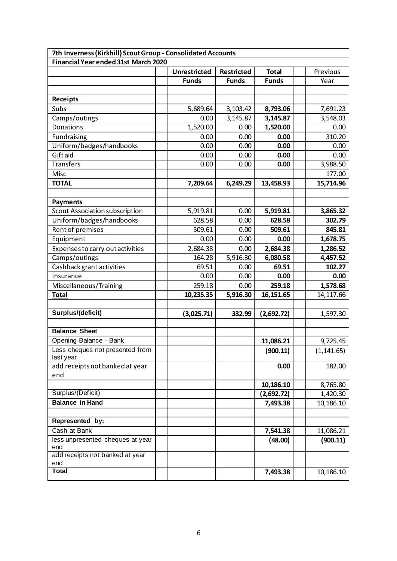| 7th Inverness (Kirkhill) Scout Group - Consolidated Accounts |                     |                   |              |             |  |  |  |
|--------------------------------------------------------------|---------------------|-------------------|--------------|-------------|--|--|--|
| <b>Financial Year ended 31st March 2020</b>                  |                     |                   |              |             |  |  |  |
|                                                              | <b>Unrestricted</b> | <b>Restricted</b> | <b>Total</b> | Previous    |  |  |  |
|                                                              | <b>Funds</b>        | <b>Funds</b>      | <b>Funds</b> | Year        |  |  |  |
|                                                              |                     |                   |              |             |  |  |  |
| Receipts                                                     |                     |                   |              |             |  |  |  |
| Subs                                                         | 5,689.64            | 3,103.42          | 8,793.06     | 7,691.23    |  |  |  |
| Camps/outings                                                | 0.00                | 3,145.87          | 3,145.87     | 3,548.03    |  |  |  |
| Donations                                                    | 1,520.00            | 0.00              | 1,520.00     | 0.00        |  |  |  |
| Fundraising                                                  | 0.00                | 0.00              | 0.00         | 310.20      |  |  |  |
| Uniform/badges/handbooks                                     | 0.00                | 0.00              | 0.00         | 0.00        |  |  |  |
| Gift aid                                                     | 0.00                | 0.00              | 0.00         | 0.00        |  |  |  |
| <b>Transfers</b>                                             | 0.00                | 0.00              | 0.00         | 3,988.50    |  |  |  |
| Misc                                                         |                     |                   |              | 177.00      |  |  |  |
| <b>TOTAL</b>                                                 | 7,209.64            | 6,249.29          | 13,458.93    | 15,714.96   |  |  |  |
|                                                              |                     |                   |              |             |  |  |  |
| <b>Payments</b>                                              |                     |                   |              |             |  |  |  |
| Scout Association subscription                               | 5,919.81            | 0.00              | 5,919.81     | 3,865.32    |  |  |  |
| Uniform/badges/handbooks                                     | 628.58              | 0.00              | 628.58       | 302.79      |  |  |  |
| Rent of premises                                             | 509.61              | 0.00              | 509.61       | 845.81      |  |  |  |
| Equipment                                                    | 0.00                | 0.00              | 0.00         | 1,678.75    |  |  |  |
| Expenses to carry out activities                             | 2,684.38            | 0.00              | 2,684.38     | 1,286.52    |  |  |  |
| Camps/outings                                                | 164.28              | 5,916.30          | 6,080.58     | 4,457.52    |  |  |  |
| Cashback grant activities                                    | 69.51               | 0.00              | 69.51        | 102.27      |  |  |  |
| Insurance                                                    | 0.00                | 0.00              | 0.00         | 0.00        |  |  |  |
| Miscellaneous/Training                                       | 259.18              | 0.00              | 259.18       | 1,578.68    |  |  |  |
| <b>Total</b>                                                 | 10,235.35           | 5,916.30          | 16,151.65    | 14,117.66   |  |  |  |
|                                                              |                     |                   |              |             |  |  |  |
| Surplus/(deficit)                                            | (3,025.71)          | 332.99            | (2,692.72)   | 1,597.30    |  |  |  |
|                                                              |                     |                   |              |             |  |  |  |
| <b>Balance Sheet</b>                                         |                     |                   |              |             |  |  |  |
| Opening Balance - Bank                                       |                     |                   | 11,086.21    | 9,725.45    |  |  |  |
| Less cheques not presented from<br>last year                 |                     |                   | (900.11)     | (1, 141.65) |  |  |  |
| add receipts not banked at year                              |                     |                   | 0.00         | 182.00      |  |  |  |
| end                                                          |                     |                   |              |             |  |  |  |
|                                                              |                     |                   | 10,186.10    | 8,765.80    |  |  |  |
| Surplus/(Deficit)                                            |                     |                   | (2,692.72)   | 1,420.30    |  |  |  |
| <b>Balance in Hand</b>                                       |                     |                   | 7,493.38     | 10,186.10   |  |  |  |
|                                                              |                     |                   |              |             |  |  |  |
| Represented by:                                              |                     |                   |              |             |  |  |  |
| Cash at Bank                                                 |                     |                   | 7,541.38     | 11,086.21   |  |  |  |
| less unpresented cheques at year                             |                     |                   | (48.00)      | (900.11)    |  |  |  |
| end                                                          |                     |                   |              |             |  |  |  |
| add receipts not banked at year<br>end                       |                     |                   |              |             |  |  |  |
| <b>Total</b>                                                 |                     |                   | 7,493.38     | 10,186.10   |  |  |  |